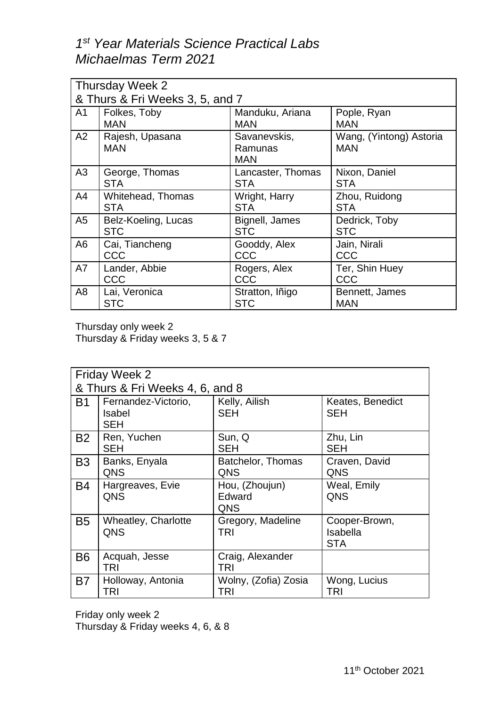## *1 st Year Materials Science Practical Labs Michaelmas Term 2021*

| Thursday Week 2                 |                               |                                       |                                       |  |  |
|---------------------------------|-------------------------------|---------------------------------------|---------------------------------------|--|--|
| & Thurs & Fri Weeks 3, 5, and 7 |                               |                                       |                                       |  |  |
| A <sub>1</sub>                  | Folkes, Toby                  | Manduku, Ariana                       | Pople, Ryan                           |  |  |
|                                 | <b>MAN</b>                    | <b>MAN</b>                            | <b>MAN</b>                            |  |  |
| A2                              | Rajesh, Upasana<br><b>MAN</b> | Savanevskis,<br>Ramunas<br><b>MAN</b> | Wang, (Yintong) Astoria<br><b>MAN</b> |  |  |
| A3                              | George, Thomas                | Lancaster, Thomas                     | Nixon, Daniel                         |  |  |
|                                 | <b>STA</b>                    | <b>STA</b>                            | <b>STA</b>                            |  |  |
| A4                              | <b>Whitehead, Thomas</b>      | Wright, Harry                         | Zhou, Ruidong                         |  |  |
|                                 | <b>STA</b>                    | <b>STA</b>                            | <b>STA</b>                            |  |  |
| A5                              | Belz-Koeling, Lucas           | Bignell, James                        | Dedrick, Toby                         |  |  |
|                                 | <b>STC</b>                    | <b>STC</b>                            | <b>STC</b>                            |  |  |
| A6                              | Cai, Tiancheng                | Gooddy, Alex                          | Jain, Nirali                          |  |  |
|                                 | CCC                           | CCC                                   | CCC                                   |  |  |
| A7                              | Lander, Abbie                 | Rogers, Alex                          | Ter, Shin Huey                        |  |  |
|                                 | CCC                           | CCC                                   | CCC                                   |  |  |
| A8                              | Lai, Veronica                 | Stratton, Iñigo                       | Bennett, James                        |  |  |
|                                 | <b>STC</b>                    | <b>STC</b>                            | <b>MAN</b>                            |  |  |

Thursday only week 2

Thursday & Friday weeks 3, 5 & 7

| <b>Friday Week 2</b><br>& Thurs & Fri Weeks 4, 6, and 8 |                                                    |                                 |                                         |  |  |
|---------------------------------------------------------|----------------------------------------------------|---------------------------------|-----------------------------------------|--|--|
| <b>B1</b>                                               | Fernandez-Victorio,<br><b>Isabel</b><br><b>SEH</b> | Kelly, Ailish<br><b>SEH</b>     | Keates, Benedict<br><b>SEH</b>          |  |  |
| <b>B2</b>                                               | Ren, Yuchen<br>SEH                                 | Sun, Q<br><b>SEH</b>            | Zhu, Lin<br><b>SEH</b>                  |  |  |
| B <sub>3</sub>                                          | Banks, Enyala<br>QNS                               | Batchelor, Thomas<br>QNS        | Craven, David<br>QNS                    |  |  |
| B4                                                      | Hargreaves, Evie<br>QNS                            | Hou, (Zhoujun)<br>Edward<br>QNS | Weal, Emily<br>QNS                      |  |  |
| <b>B5</b>                                               | Wheatley, Charlotte<br>QNS                         | Gregory, Madeline<br>TRI        | Cooper-Brown,<br>Isabella<br><b>STA</b> |  |  |
| <b>B6</b>                                               | Acquah, Jesse<br><b>TRI</b>                        | Craig, Alexander<br><b>TRI</b>  |                                         |  |  |
| B7                                                      | Holloway, Antonia<br>TRI                           | Wolny, (Zofia) Zosia<br>TRI     | Wong, Lucius<br>TRI                     |  |  |

Friday only week 2

Thursday & Friday weeks 4, 6, & 8